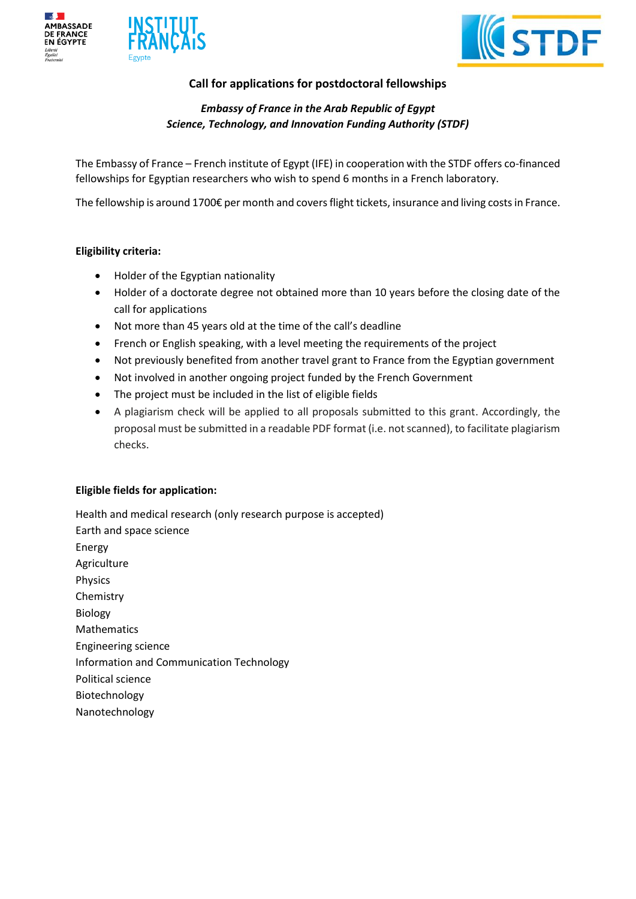





# **Call for applications for postdoctoral fellowships**

*Embassy of France in the Arab Republic of Egypt Science, Technology, and Innovation Funding Authority (STDF)*

The Embassy of France – French institute of Egypt (IFE) in cooperation with the STDF offers co-financed fellowships for Egyptian researchers who wish to spend 6 months in a French laboratory.

The fellowship is around 1700€ per month and covers flight tickets, insurance and living costs in France.

# **Eligibility criteria:**

- Holder of the Egyptian nationality
- Holder of a doctorate degree not obtained more than 10 years before the closing date of the call for applications
- Not more than 45 years old at the time of the call's deadline
- French or English speaking, with a level meeting the requirements of the project
- Not previously benefited from another travel grant to France from the Egyptian government
- Not involved in another ongoing project funded by the French Government
- The project must be included in the list of eligible fields
- A plagiarism check will be applied to all proposals submitted to this grant. Accordingly, the proposal must be submitted in a readable PDF format (i.e. not scanned), to facilitate plagiarism checks.

# **Eligible fields for application:**

Health and medical research (only research purpose is accepted) Earth and space science Energy Agriculture Physics Chemistry Biology Mathematics Engineering science Information and Communication Technology Political science Biotechnology Nanotechnology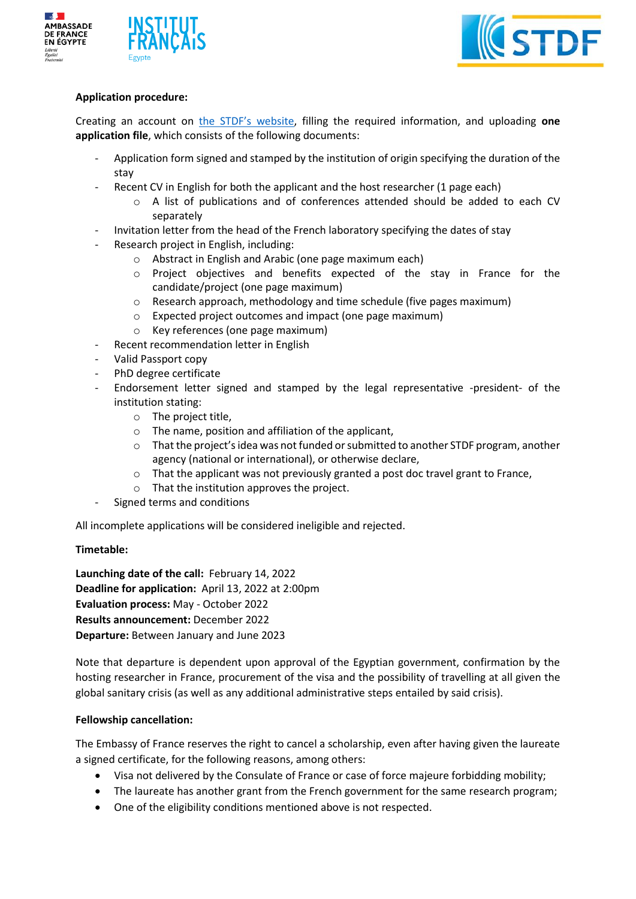





# **Application procedure:**

Creating an account on [the STDF's website](http://www.stdf.org.eg/), filling the required information, and uploading **one application file**, which consists of the following documents:

- Application form signed and stamped by the institution of origin specifying the duration of the stay
- Recent CV in English for both the applicant and the host researcher (1 page each)
	- o A list of publications and of conferences attended should be added to each CV separately
- Invitation letter from the head of the French laboratory specifying the dates of stay
- Research project in English, including:
	- o Abstract in English and Arabic (one page maximum each)
	- o Project objectives and benefits expected of the stay in France for the candidate/project (one page maximum)
	- $\circ$  Research approach, methodology and time schedule (five pages maximum)
	- o Expected project outcomes and impact (one page maximum)
	- o Key references (one page maximum)
- Recent recommendation letter in English
- Valid Passport copy
- PhD degree certificate
- Endorsement letter signed and stamped by the legal representative -president- of the institution stating:
	- o The project title,
	- o The name, position and affiliation of the applicant,
	- $\circ$  That the project's idea was not funded or submitted to another STDF program, another agency (national or international), or otherwise declare,
	- o That the applicant was not previously granted a post doc travel grant to France,
	- o That the institution approves the project.
- Signed terms and conditions

All incomplete applications will be considered ineligible and rejected.

# **Timetable:**

**Launching date of the call:** February 14, 2022 **Deadline for application:** April 13, 2022 at 2:00pm **Evaluation process:** May - October 2022 **Results announcement:** December 2022 **Departure:** Between January and June 2023

Note that departure is dependent upon approval of the Egyptian government, confirmation by the hosting researcher in France, procurement of the visa and the possibility of travelling at all given the global sanitary crisis (as well as any additional administrative steps entailed by said crisis).

# **Fellowship cancellation:**

The Embassy of France reserves the right to cancel a scholarship, even after having given the laureate a signed certificate, for the following reasons, among others:

- Visa not delivered by the Consulate of France or case of force majeure forbidding mobility;
- The laureate has another grant from the French government for the same research program;
- One of the eligibility conditions mentioned above is not respected.